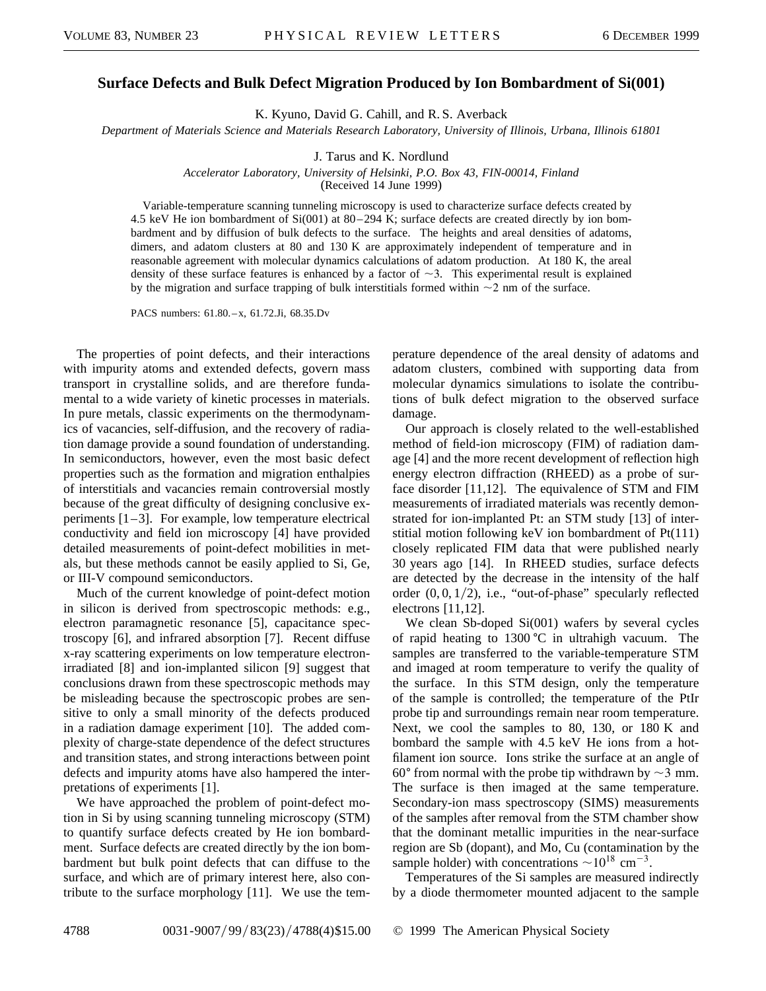## **Surface Defects and Bulk Defect Migration Produced by Ion Bombardment of Si(001)**

K. Kyuno, David G. Cahill, and R. S. Averback

*Department of Materials Science and Materials Research Laboratory, University of Illinois, Urbana, Illinois 61801*

J. Tarus and K. Nordlund

*Accelerator Laboratory, University of Helsinki, P.O. Box 43, FIN-00014, Finland*

(Received 14 June 1999)

Variable-temperature scanning tunneling microscopy is used to characterize surface defects created by 4.5 keV He ion bombardment of Si(001) at 80–294 K; surface defects are created directly by ion bombardment and by diffusion of bulk defects to the surface. The heights and areal densities of adatoms, dimers, and adatom clusters at 80 and 130 K are approximately independent of temperature and in reasonable agreement with molecular dynamics calculations of adatom production. At 180 K, the areal density of these surface features is enhanced by a factor of  $\sim$ 3. This experimental result is explained by the migration and surface trapping of bulk interstitials formed within  $\sim$ 2 nm of the surface.

PACS numbers: 61.80.–x, 61.72.Ji, 68.35.Dv

The properties of point defects, and their interactions with impurity atoms and extended defects, govern mass transport in crystalline solids, and are therefore fundamental to a wide variety of kinetic processes in materials. In pure metals, classic experiments on the thermodynamics of vacancies, self-diffusion, and the recovery of radiation damage provide a sound foundation of understanding. In semiconductors, however, even the most basic defect properties such as the formation and migration enthalpies of interstitials and vacancies remain controversial mostly because of the great difficulty of designing conclusive experiments [1–3]. For example, low temperature electrical conductivity and field ion microscopy [4] have provided detailed measurements of point-defect mobilities in metals, but these methods cannot be easily applied to Si, Ge, or III-V compound semiconductors.

Much of the current knowledge of point-defect motion in silicon is derived from spectroscopic methods: e.g., electron paramagnetic resonance [5], capacitance spectroscopy [6], and infrared absorption [7]. Recent diffuse x-ray scattering experiments on low temperature electronirradiated [8] and ion-implanted silicon [9] suggest that conclusions drawn from these spectroscopic methods may be misleading because the spectroscopic probes are sensitive to only a small minority of the defects produced in a radiation damage experiment [10]. The added complexity of charge-state dependence of the defect structures and transition states, and strong interactions between point defects and impurity atoms have also hampered the interpretations of experiments [1].

We have approached the problem of point-defect motion in Si by using scanning tunneling microscopy (STM) to quantify surface defects created by He ion bombardment. Surface defects are created directly by the ion bombardment but bulk point defects that can diffuse to the surface, and which are of primary interest here, also contribute to the surface morphology [11]. We use the temperature dependence of the areal density of adatoms and adatom clusters, combined with supporting data from molecular dynamics simulations to isolate the contributions of bulk defect migration to the observed surface damage.

Our approach is closely related to the well-established method of field-ion microscopy (FIM) of radiation damage [4] and the more recent development of reflection high energy electron diffraction (RHEED) as a probe of surface disorder [11,12]. The equivalence of STM and FIM measurements of irradiated materials was recently demonstrated for ion-implanted Pt: an STM study [13] of interstitial motion following keV ion bombardment of Pt(111) closely replicated FIM data that were published nearly 30 years ago [14]. In RHEED studies, surface defects are detected by the decrease in the intensity of the half order  $(0, 0, 1/2)$ , i.e., "out-of-phase" specularly reflected electrons [11,12].

We clean Sb-doped Si(001) wafers by several cycles of rapid heating to  $1300 \degree C$  in ultrahigh vacuum. The samples are transferred to the variable-temperature STM and imaged at room temperature to verify the quality of the surface. In this STM design, only the temperature of the sample is controlled; the temperature of the PtIr probe tip and surroundings remain near room temperature. Next, we cool the samples to 80, 130, or 180 K and bombard the sample with 4.5 keV He ions from a hotfilament ion source. Ions strike the surface at an angle of 60 $\degree$  from normal with the probe tip withdrawn by  $\sim$ 3 mm. The surface is then imaged at the same temperature. Secondary-ion mass spectroscopy (SIMS) measurements of the samples after removal from the STM chamber show that the dominant metallic impurities in the near-surface region are Sb (dopant), and Mo, Cu (contamination by the sample holder) with concentrations  $\sim 10^{18}$  cm<sup>-3</sup>.

Temperatures of the Si samples are measured indirectly by a diode thermometer mounted adjacent to the sample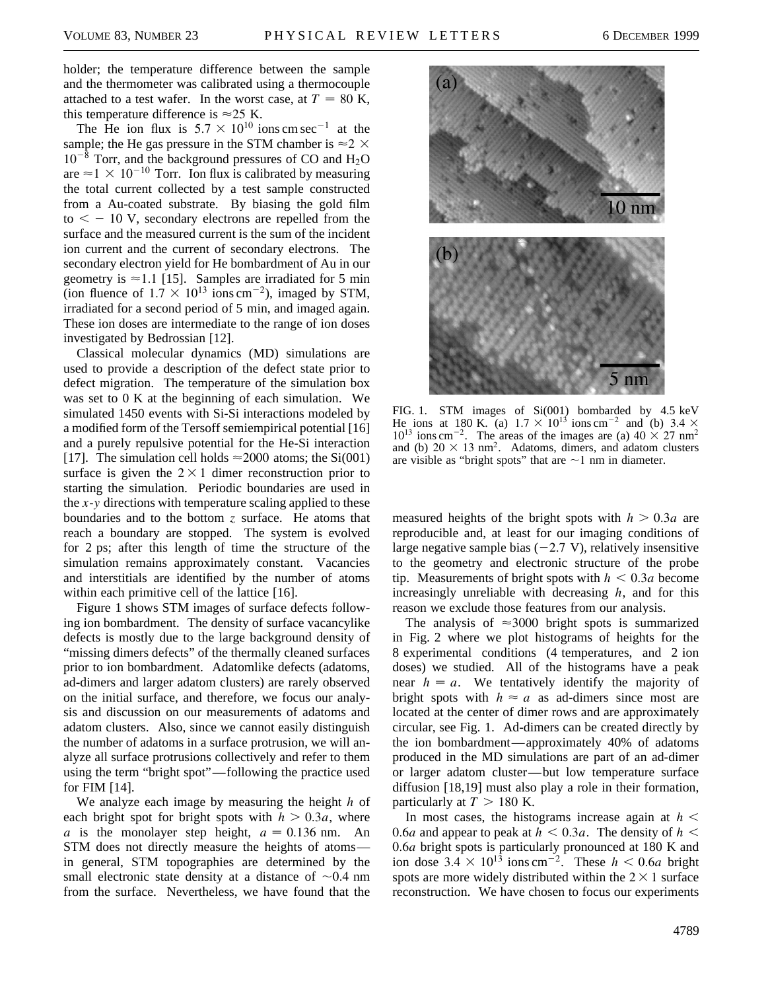holder; the temperature difference between the sample and the thermometer was calibrated using a thermocouple attached to a test wafer. In the worst case, at  $T = 80$  K, this temperature difference is  $\approx$  25 K.

The He ion flux is  $5.7 \times 10^{10}$  ions cm sec<sup>-1</sup> at the sample; the He gas pressure in the STM chamber is  $\approx$  2  $\times$  $10^{-8}$  Torr, and the background pressures of CO and H<sub>2</sub>O are  $\approx$  1  $\times$  10<sup>-10</sup> Torr. Ion flux is calibrated by measuring the total current collected by a test sample constructed from a Au-coated substrate. By biasing the gold film  $to < -10$  V, secondary electrons are repelled from the surface and the measured current is the sum of the incident ion current and the current of secondary electrons. The secondary electron yield for He bombardment of Au in our geometry is  $\approx$  1.1 [15]. Samples are irradiated for 5 min (ion fluence of  $1.7 \times 10^{13}$  ions cm<sup>-2</sup>), imaged by STM, irradiated for a second period of 5 min, and imaged again. These ion doses are intermediate to the range of ion doses investigated by Bedrossian [12].

Classical molecular dynamics (MD) simulations are used to provide a description of the defect state prior to defect migration. The temperature of the simulation box was set to 0 K at the beginning of each simulation. We simulated 1450 events with Si-Si interactions modeled by a modified form of the Tersoff semiempirical potential [16] and a purely repulsive potential for the He-Si interaction [17]. The simulation cell holds  $\approx$  2000 atoms; the Si(001) surface is given the  $2 \times 1$  dimer reconstruction prior to starting the simulation. Periodic boundaries are used in the *x*-*y* directions with temperature scaling applied to these boundaries and to the bottom *z* surface. He atoms that reach a boundary are stopped. The system is evolved for 2 ps; after this length of time the structure of the simulation remains approximately constant. Vacancies and interstitials are identified by the number of atoms within each primitive cell of the lattice [16].

Figure 1 shows STM images of surface defects following ion bombardment. The density of surface vacancylike defects is mostly due to the large background density of "missing dimers defects" of the thermally cleaned surfaces prior to ion bombardment. Adatomlike defects (adatoms, ad-dimers and larger adatom clusters) are rarely observed on the initial surface, and therefore, we focus our analysis and discussion on our measurements of adatoms and adatom clusters. Also, since we cannot easily distinguish the number of adatoms in a surface protrusion, we will analyze all surface protrusions collectively and refer to them using the term "bright spot"—following the practice used for FIM [14].

We analyze each image by measuring the height *h* of each bright spot for bright spots with  $h > 0.3a$ , where *a* is the monolayer step height,  $a = 0.136$  nm. An STM does not directly measure the heights of atoms in general, STM topographies are determined by the small electronic state density at a distance of  $\sim 0.4$  nm from the surface. Nevertheless, we have found that the



FIG. 1. STM images of Si(001) bombarded by 4.5 keV He ions at 180 K. (a)  $1.7 \times 10^{13}$  ions cm<sup>-2</sup> and (b) 3.4  $\times$  $10^{13}$  ions cm<sup>-2</sup>. The areas of the images are (a)  $40 \times 27$  nm<sup>2</sup> and (b)  $20 \times 13$  nm<sup>2</sup>. Adatoms, dimers, and adatom clusters are visible as "bright spots" that are  $\sim$ 1 nm in diameter.

measured heights of the bright spots with  $h > 0.3a$  are reproducible and, at least for our imaging conditions of large negative sample bias  $(-2.7 V)$ , relatively insensitive to the geometry and electronic structure of the probe tip. Measurements of bright spots with  $h < 0.3a$  become increasingly unreliable with decreasing *h*, and for this reason we exclude those features from our analysis.

The analysis of  $\approx 3000$  bright spots is summarized in Fig. 2 where we plot histograms of heights for the 8 experimental conditions (4 temperatures, and 2 ion doses) we studied. All of the histograms have a peak near  $h = a$ . We tentatively identify the majority of bright spots with  $h \approx a$  as ad-dimers since most are located at the center of dimer rows and are approximately circular, see Fig. 1. Ad-dimers can be created directly by the ion bombardment—approximately 40% of adatoms produced in the MD simulations are part of an ad-dimer or larger adatom cluster—but low temperature surface diffusion [18,19] must also play a role in their formation, particularly at  $T > 180$  K.

In most cases, the histograms increase again at  $h <$ 0.6*a* and appear to peak at  $h < 0.3a$ . The density of  $h <$ 0.6*a* bright spots is particularly pronounced at 180 K and ion dose  $3.4 \times 10^{13}$  ions cm<sup>-2</sup>. These  $h < 0.6a$  bright spots are more widely distributed within the  $2 \times 1$  surface reconstruction. We have chosen to focus our experiments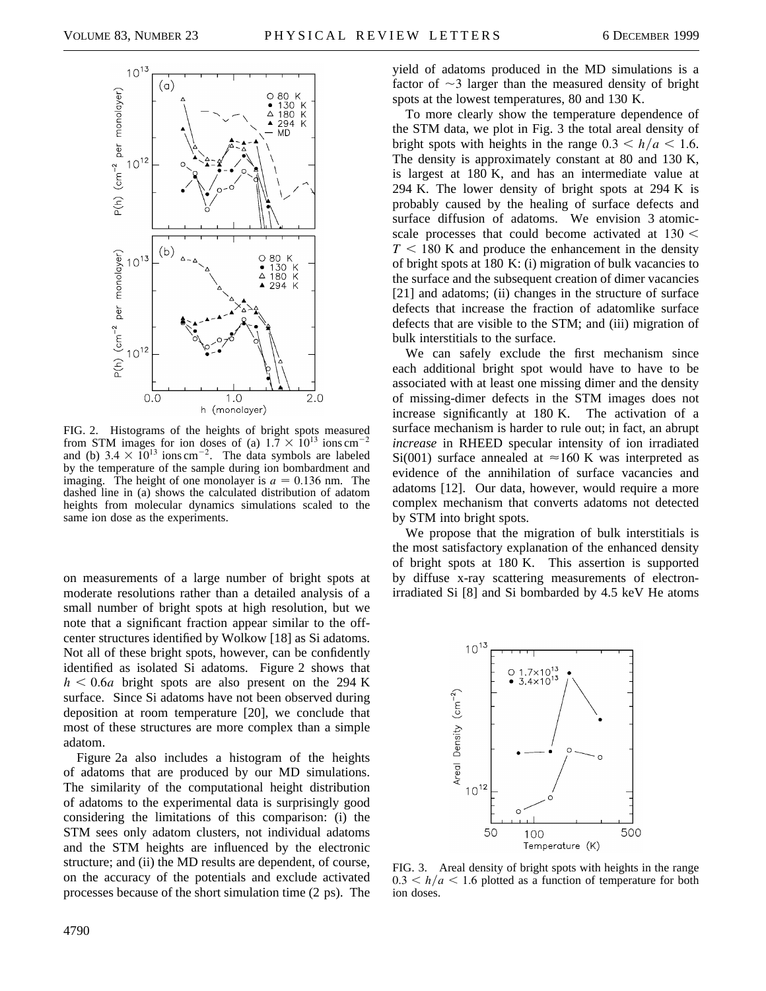

FIG. 2. Histograms of the heights of bright spots measured from STM images for ion doses of (a)  $1.7 \times 10^{13}$  ions cm<sup>-2</sup> and (b)  $3.4 \times 10^{13}$  ions cm<sup>-2</sup>. The data symbols are labeled by the temperature of the sample during ion bombardment and imaging. The height of one monolayer is  $a = 0.136$  nm. The dashed line in (a) shows the calculated distribution of adatom heights from molecular dynamics simulations scaled to the same ion dose as the experiments.

on measurements of a large number of bright spots at moderate resolutions rather than a detailed analysis of a small number of bright spots at high resolution, but we note that a significant fraction appear similar to the offcenter structures identified by Wolkow [18] as Si adatoms. Not all of these bright spots, however, can be confidently identified as isolated Si adatoms. Figure 2 shows that  $h \leq 0.6a$  bright spots are also present on the 294 K surface. Since Si adatoms have not been observed during deposition at room temperature [20], we conclude that most of these structures are more complex than a simple adatom.

Figure 2a also includes a histogram of the heights of adatoms that are produced by our MD simulations. The similarity of the computational height distribution of adatoms to the experimental data is surprisingly good considering the limitations of this comparison: (i) the STM sees only adatom clusters, not individual adatoms and the STM heights are influenced by the electronic structure; and (ii) the MD results are dependent, of course, on the accuracy of the potentials and exclude activated processes because of the short simulation time (2 ps). The yield of adatoms produced in the MD simulations is a factor of  $\sim$ 3 larger than the measured density of bright spots at the lowest temperatures, 80 and 130 K.

To more clearly show the temperature dependence of the STM data, we plot in Fig. 3 the total areal density of bright spots with heights in the range  $0.3 < h/a < 1.6$ . The density is approximately constant at 80 and 130 K, is largest at 180 K, and has an intermediate value at 294 K. The lower density of bright spots at 294 K is probably caused by the healing of surface defects and surface diffusion of adatoms. We envision 3 atomicscale processes that could become activated at  $130 <$  $T < 180$  K and produce the enhancement in the density of bright spots at 180 K: (i) migration of bulk vacancies to the surface and the subsequent creation of dimer vacancies [21] and adatoms; (ii) changes in the structure of surface defects that increase the fraction of adatomlike surface defects that are visible to the STM; and (iii) migration of bulk interstitials to the surface.

We can safely exclude the first mechanism since each additional bright spot would have to have to be associated with at least one missing dimer and the density of missing-dimer defects in the STM images does not increase significantly at 180 K. The activation of a surface mechanism is harder to rule out; in fact, an abrupt *increase* in RHEED specular intensity of ion irradiated Si(001) surface annealed at  $\approx$ 160 K was interpreted as evidence of the annihilation of surface vacancies and adatoms [12]. Our data, however, would require a more complex mechanism that converts adatoms not detected by STM into bright spots.

We propose that the migration of bulk interstitials is the most satisfactory explanation of the enhanced density of bright spots at 180 K. This assertion is supported by diffuse x-ray scattering measurements of electronirradiated Si [8] and Si bombarded by 4.5 keV He atoms



FIG. 3. Areal density of bright spots with heights in the range  $0.3 < h/a < 1.6$  plotted as a function of temperature for both ion doses.